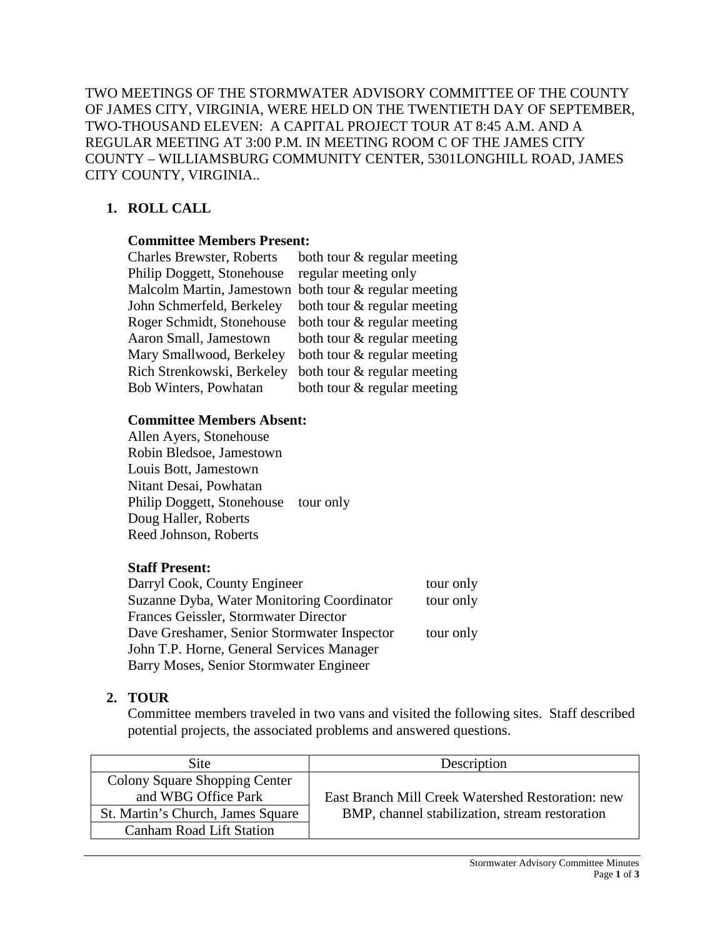TWO MEETINGS OF THE STORMWATER ADVISORY COMMITTEE OF THE COUNTY OF JAMES CITY, VIRGINIA, WERE HELD ON THE TWENTIETH DAY OF SEPTEMBER, TWO-THOUSAND ELEVEN: A CAPITAL PROJECT TOUR AT 8:45 A.M. AND A REGULAR MEETING AT 3:00 P.M. IN MEETING ROOM C OF THE JAMES CITY COUNTY – WILLIAMSBURG COMMUNITY CENTER, 5301LONGHILL ROAD, JAMES CITY COUNTY, VIRGINIA..

# **1. ROLL CALL**

#### **Committee Members Present:**

| <b>Charles Brewster, Roberts</b> | both tour $\&$ regular meeting |
|----------------------------------|--------------------------------|
| Philip Doggett, Stonehouse       | regular meeting only           |
| Malcolm Martin, Jamestown        | both tour & regular meeting    |
| John Schmerfeld, Berkeley        | both tour $\&$ regular meeting |
| Roger Schmidt, Stonehouse        | both tour $\&$ regular meeting |
| Aaron Small, Jamestown           | both tour $\&$ regular meeting |
| Mary Smallwood, Berkeley         | both tour $\&$ regular meeting |
| Rich Strenkowski, Berkeley       | both tour & regular meeting    |
| Bob Winters, Powhatan            | both tour $\&$ regular meeting |

#### **Committee Members Absent:**

Allen Ayers, Stonehouse Robin Bledsoe, Jamestown Louis Bott, Jamestown Nitant Desai, Powhatan Philip Doggett, Stonehouse tour only Doug Haller, Roberts Reed Johnson, Roberts

### **Staff Present:**

| Darryl Cook, County Engineer                | tour only |
|---------------------------------------------|-----------|
| Suzanne Dyba, Water Monitoring Coordinator  | tour only |
| Frances Geissler, Stormwater Director       |           |
| Dave Greshamer, Senior Stormwater Inspector | tour only |
| John T.P. Horne, General Services Manager   |           |
| Barry Moses, Senior Stormwater Engineer     |           |
|                                             |           |

### **2. TOUR**

Committee members traveled in two vans and visited the following sites. Staff described potential projects, the associated problems and answered questions.

| <b>Site</b>                                                                               | Description                                                                                         |
|-------------------------------------------------------------------------------------------|-----------------------------------------------------------------------------------------------------|
| Colony Square Shopping Center<br>and WBG Office Park<br>St. Martin's Church, James Square | East Branch Mill Creek Watershed Restoration: new<br>BMP, channel stabilization, stream restoration |
| <b>Canham Road Lift Station</b>                                                           |                                                                                                     |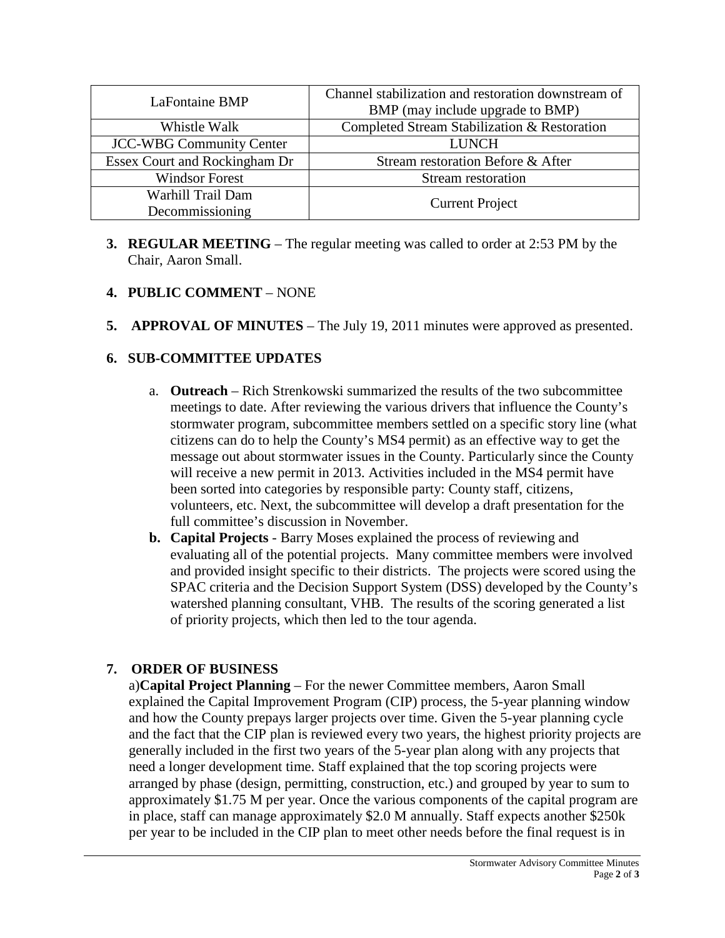| <b>LaFontaine BMP</b>           | Channel stabilization and restoration downstream of<br>BMP (may include upgrade to BMP) |
|---------------------------------|-----------------------------------------------------------------------------------------|
| Whistle Walk                    | Completed Stream Stabilization & Restoration                                            |
| <b>JCC-WBG Community Center</b> | <b>LUNCH</b>                                                                            |
| Essex Court and Rockingham Dr   | Stream restoration Before & After                                                       |
| <b>Windsor Forest</b>           | Stream restoration                                                                      |
| Warhill Trail Dam               | <b>Current Project</b>                                                                  |
| Decommissioning                 |                                                                                         |

**3. REGULAR MEETING** – The regular meeting was called to order at 2:53 PM by the Chair, Aaron Small.

# **4. PUBLIC COMMENT** – NONE

**5. APPROVAL OF MINUTES** – The July 19, 2011 minutes were approved as presented.

### **6. SUB-COMMITTEE UPDATES**

- a. **Outreach** Rich Strenkowski summarized the results of the two subcommittee meetings to date. After reviewing the various drivers that influence the County's stormwater program, subcommittee members settled on a specific story line (what citizens can do to help the County's MS4 permit) as an effective way to get the message out about stormwater issues in the County. Particularly since the County will receive a new permit in 2013. Activities included in the MS4 permit have been sorted into categories by responsible party: County staff, citizens, volunteers, etc. Next, the subcommittee will develop a draft presentation for the full committee's discussion in November.
- **b. Capital Projects** Barry Moses explained the process of reviewing and evaluating all of the potential projects. Many committee members were involved and provided insight specific to their districts. The projects were scored using the SPAC criteria and the Decision Support System (DSS) developed by the County's watershed planning consultant, VHB. The results of the scoring generated a list of priority projects, which then led to the tour agenda.

# **7. ORDER OF BUSINESS**

a)**Capital Project Planning** – For the newer Committee members, Aaron Small explained the Capital Improvement Program (CIP) process, the 5-year planning window and how the County prepays larger projects over time. Given the 5-year planning cycle and the fact that the CIP plan is reviewed every two years, the highest priority projects are generally included in the first two years of the 5-year plan along with any projects that need a longer development time. Staff explained that the top scoring projects were arranged by phase (design, permitting, construction, etc.) and grouped by year to sum to approximately \$1.75 M per year. Once the various components of the capital program are in place, staff can manage approximately \$2.0 M annually. Staff expects another \$250k per year to be included in the CIP plan to meet other needs before the final request is in